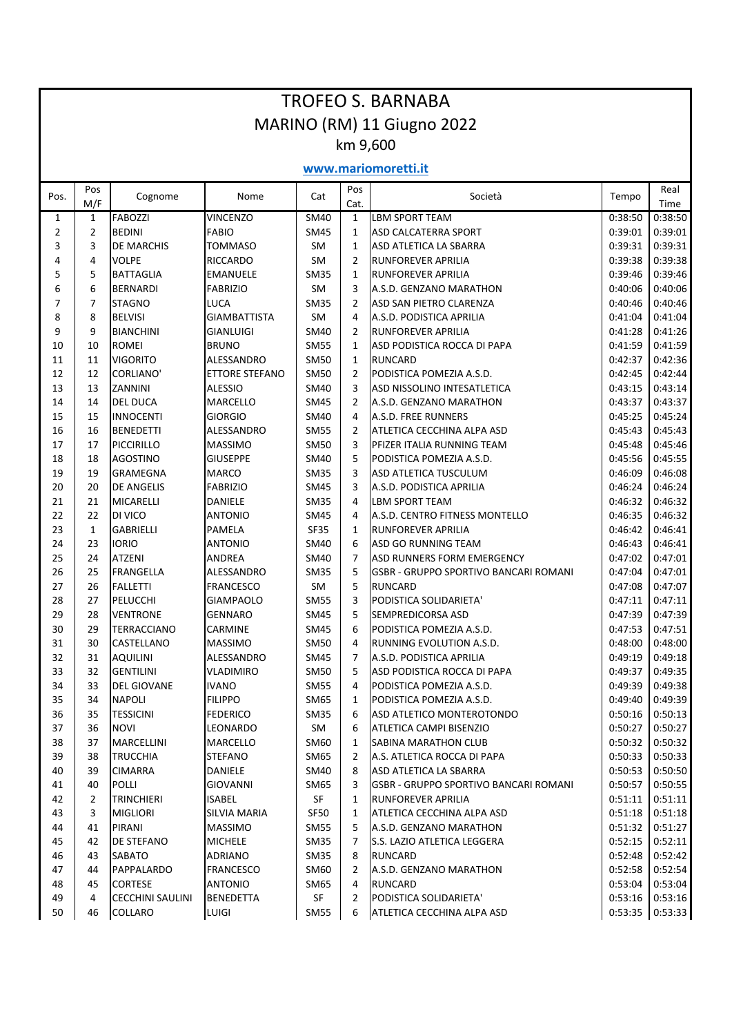| <b>TROFEO S. BARNABA</b>   |                |                                           |                                    |             |                |                                              |                    |                    |  |  |  |  |  |  |
|----------------------------|----------------|-------------------------------------------|------------------------------------|-------------|----------------|----------------------------------------------|--------------------|--------------------|--|--|--|--|--|--|
| MARINO (RM) 11 Giugno 2022 |                |                                           |                                    |             |                |                                              |                    |                    |  |  |  |  |  |  |
| km 9,600                   |                |                                           |                                    |             |                |                                              |                    |                    |  |  |  |  |  |  |
| www.mariomoretti.it        |                |                                           |                                    |             |                |                                              |                    |                    |  |  |  |  |  |  |
| Pos.                       | Pos<br>M/F     | Cognome                                   | Nome                               | Cat         | Pos<br>Cat.    | Società                                      | Tempo              | Real<br>Time       |  |  |  |  |  |  |
| 1                          | 1              | <b>FABOZZI</b>                            | <b>VINCENZO</b>                    | <b>SM40</b> | 1              | <b>LBM SPORT TEAM</b>                        | 0:38:50            | 0:38:50            |  |  |  |  |  |  |
| 2                          | $\overline{2}$ | <b>BEDINI</b>                             | <b>FABIO</b>                       | <b>SM45</b> | $\mathbf{1}$   | ASD CALCATERRA SPORT                         | 0:39:01            | 0:39:01            |  |  |  |  |  |  |
| 3                          | 3              | DE MARCHIS                                | <b>TOMMASO</b>                     | <b>SM</b>   | $\mathbf{1}$   | ASD ATLETICA LA SBARRA                       | 0:39:31            | 0:39:31            |  |  |  |  |  |  |
| 4                          | 4              | <b>VOLPE</b>                              | <b>RICCARDO</b>                    | <b>SM</b>   | $\overline{2}$ | <b>RUNFOREVER APRILIA</b>                    | 0:39:38            | 0:39:38            |  |  |  |  |  |  |
| 5                          | 5              | <b>BATTAGLIA</b>                          | <b>EMANUELE</b>                    | SM35        | 1              | <b>RUNFOREVER APRILIA</b>                    | 0:39:46            | 0:39:46            |  |  |  |  |  |  |
| 6                          | 6              | <b>BERNARDI</b>                           | <b>FABRIZIO</b>                    | <b>SM</b>   | 3              | A.S.D. GENZANO MARATHON                      | 0:40:06            | 0:40:06            |  |  |  |  |  |  |
| 7                          | 7              | <b>STAGNO</b>                             | LUCA                               | <b>SM35</b> | 2              | ASD SAN PIETRO CLARENZA                      | 0:40:46            | 0:40:46            |  |  |  |  |  |  |
| 8                          | 8              | <b>BELVISI</b>                            | <b>GIAMBATTISTA</b>                | <b>SM</b>   | 4              | A.S.D. PODISTICA APRILIA                     | 0:41:04            | 0:41:04            |  |  |  |  |  |  |
| 9                          | 9              | <b>BIANCHINI</b>                          | <b>GIANLUIGI</b>                   | SM40        | $\overline{2}$ | <b>RUNFOREVER APRILIA</b>                    | 0:41:28            | 0:41:26            |  |  |  |  |  |  |
| 10                         | 10             | <b>ROMEI</b>                              | <b>BRUNO</b>                       | <b>SM55</b> | $\mathbf{1}$   | ASD PODISTICA ROCCA DI PAPA                  | 0:41:59            | 0:41:59            |  |  |  |  |  |  |
| 11                         | 11             | <b>VIGORITO</b>                           | ALESSANDRO                         | <b>SM50</b> | $\mathbf{1}$   | <b>RUNCARD</b>                               | 0:42:37            | 0:42:36            |  |  |  |  |  |  |
| 12                         | 12             | <b>CORLIANO</b>                           | ETTORE STEFANO                     | <b>SM50</b> | 2              | PODISTICA POMEZIA A.S.D.                     | 0:42:45            | 0:42:44            |  |  |  |  |  |  |
| 13                         | 13             | ZANNINI                                   | <b>ALESSIO</b>                     | SM40        | 3              | ASD NISSOLINO INTESATLETICA                  | 0:43:15            | 0:43:14            |  |  |  |  |  |  |
| 14                         | 14             | <b>DEL DUCA</b>                           | <b>MARCELLO</b>                    | SM45        | 2              | A.S.D. GENZANO MARATHON                      | 0:43:37            | 0:43:37            |  |  |  |  |  |  |
| 15                         | 15             | <b>INNOCENTI</b>                          | <b>GIORGIO</b>                     | SM40        | $\overline{4}$ | A.S.D. FREE RUNNERS                          | 0:45:25            | 0:45:24            |  |  |  |  |  |  |
| 16                         | 16             | <b>BENEDETTI</b>                          | ALESSANDRO                         | <b>SM55</b> | $\overline{2}$ | ATLETICA CECCHINA ALPA ASD                   | 0:45:43            | 0:45:43            |  |  |  |  |  |  |
| 17                         | 17             | PICCIRILLO                                | <b>MASSIMO</b>                     | <b>SM50</b> | 3              | PFIZER ITALIA RUNNING TEAM                   | 0:45:48            | 0:45:46            |  |  |  |  |  |  |
| 18                         | 18             | <b>AGOSTINO</b>                           | <b>GIUSEPPE</b>                    | SM40        | 5              | PODISTICA POMEZIA A.S.D.                     | 0:45:56            | 0:45:55            |  |  |  |  |  |  |
| 19                         | 19             | <b>GRAMEGNA</b>                           | <b>MARCO</b>                       | <b>SM35</b> | 3              | ASD ATLETICA TUSCULUM                        | 0:46:09            | 0:46:08            |  |  |  |  |  |  |
| 20                         | 20             | <b>DE ANGELIS</b>                         | <b>FABRIZIO</b>                    | SM45        | 3              | A.S.D. PODISTICA APRILIA                     | 0:46:24            | 0:46:24            |  |  |  |  |  |  |
| 21                         | 21             | MICARELLI                                 | DANIELE                            | <b>SM35</b> | 4              | LBM SPORT TEAM                               | 0:46:32            | 0:46:32            |  |  |  |  |  |  |
| 22                         | 22             | DI VICO                                   | <b>ANTONIO</b>                     | SM45        | 4              | A.S.D. CENTRO FITNESS MONTELLO               | 0:46:35            | 0:46:32            |  |  |  |  |  |  |
| 23                         | $\mathbf{1}$   | <b>GABRIELLI</b>                          | <b>PAMELA</b>                      | <b>SF35</b> | 1              | <b>RUNFOREVER APRILIA</b>                    | 0:46:42            | 0:46:41            |  |  |  |  |  |  |
| 24                         | 23             | <b>IORIO</b>                              | ANTONIO                            | SM40        | 6              | ASD GO RUNNING TEAM                          | 0:46:43            | 0:46:41            |  |  |  |  |  |  |
| 25                         | 24             | <b>ATZENI</b>                             | <b>ANDREA</b>                      | SM40        | $\overline{7}$ | ASD RUNNERS FORM EMERGENCY                   | 0:47:02            | 0:47:01            |  |  |  |  |  |  |
| 26                         | 25             | <b>FRANGELLA</b>                          | ALESSANDRO                         | SM35        | 5              | <b>GSBR - GRUPPO SPORTIVO BANCARI ROMANI</b> | 0:47:04            | 0:47:01            |  |  |  |  |  |  |
| 27                         | 26             | <b>FALLETTI</b>                           | <b>FRANCESCO</b>                   | SM          | 5              | <b>RUNCARD</b>                               | 0:47:08            | 0:47:07            |  |  |  |  |  |  |
| 28                         | 27             | PELUCCHI                                  | <b>GIAMPAOLO</b>                   | <b>SM55</b> | 3              | PODISTICA SOLIDARIETA'                       | 0:47:11            | 0:47:11            |  |  |  |  |  |  |
| 29                         | 28             | <b>VENTRONE</b>                           | <b>GENNARO</b>                     | SM45        | 5              | SEMPREDICORSA ASD                            | 0:47:39            | 0:47:39            |  |  |  |  |  |  |
| $30\,$                     | 29             | TERRACCIANO                               | CARMINE                            | <b>SM45</b> | 6              | PODISTICA POMEZIA A.S.D.                     | 0:47:53            | 0:47:51            |  |  |  |  |  |  |
| 31                         | 30             | CASTELLANO                                | <b>MASSIMO</b>                     | SM50        | 4              | RUNNING EVOLUTION A.S.D.                     | 0:48:00            | 0:48:00            |  |  |  |  |  |  |
| 32                         | 31             | <b>AQUILINI</b>                           | ALESSANDRO                         | SM45        | 7              | A.S.D. PODISTICA APRILIA                     | 0:49:19            | 0:49:18            |  |  |  |  |  |  |
| 33                         | 32             | <b>GENTILINI</b>                          | <b>VLADIMIRO</b>                   | <b>SM50</b> | 5              | ASD PODISTICA ROCCA DI PAPA                  | 0:49:37            | 0:49:35            |  |  |  |  |  |  |
| 34                         | 33             | <b>DEL GIOVANE</b>                        | <b>IVANO</b>                       | SM55        | 4              | PODISTICA POMEZIA A.S.D.                     | 0:49:39            | 0:49:38            |  |  |  |  |  |  |
| 35                         | 34             | <b>NAPOLI</b>                             | <b>FILIPPO</b>                     | SM65        | $\mathbf{1}$   | PODISTICA POMEZIA A.S.D.                     | 0:49:40            | 0:49:39            |  |  |  |  |  |  |
| 36                         | 35             | <b>TESSICINI</b>                          | <b>FEDERICO</b>                    | <b>SM35</b> | 6              | ASD ATLETICO MONTEROTONDO                    | 0:50:16            | 0:50:13            |  |  |  |  |  |  |
| 37                         | 36             | <b>NOVI</b>                               | LEONARDO                           | SM          | 6              | ATLETICA CAMPI BISENZIO                      | 0:50:27            | 0:50:27            |  |  |  |  |  |  |
| 38                         | 37             | MARCELLINI                                | <b>MARCELLO</b>                    | SM60        | $\mathbf{1}$   | <b>SABINA MARATHON CLUB</b>                  | 0:50:32            | 0:50:32            |  |  |  |  |  |  |
| 39                         | 38             | <b>TRUCCHIA</b>                           | STEFANO                            | SM65        | 2              | A.S. ATLETICA ROCCA DI PAPA                  | 0:50:33            | 0:50:33            |  |  |  |  |  |  |
| 40                         | 39             | <b>CIMARRA</b>                            | DANIELE                            | SM40        | 8              | ASD ATLETICA LA SBARRA                       | 0:50:53            | 0:50:50            |  |  |  |  |  |  |
| 41                         | 40             | POLLI                                     | <b>GIOVANNI</b>                    | SM65        | 3              | <b>GSBR - GRUPPO SPORTIVO BANCARI ROMANI</b> | 0:50:57            | 0:50:55            |  |  |  |  |  |  |
| 42                         | $\overline{2}$ | <b>TRINCHIERI</b>                         | <b>ISABEL</b>                      | SF          | $\mathbf{1}$   | <b>RUNFOREVER APRILIA</b>                    | 0:51:11            | 0:51:11            |  |  |  |  |  |  |
| 43                         | 3              | <b>MIGLIORI</b>                           | <b>SILVIA MARIA</b>                | SF50        | 1              | ATLETICA CECCHINA ALPA ASD                   | 0:51:18            | 0:51:18            |  |  |  |  |  |  |
| 44                         | 41             | PIRANI                                    | <b>MASSIMO</b>                     | <b>SM55</b> | 5              | A.S.D. GENZANO MARATHON                      | 0:51:32            | 0:51:27            |  |  |  |  |  |  |
| 45                         | 42             | DE STEFANO                                | <b>MICHELE</b>                     | <b>SM35</b> | 7              | S.S. LAZIO ATLETICA LEGGERA                  | 0:52:15            | 0:52:11            |  |  |  |  |  |  |
| 46                         | 43             | <b>SABATO</b>                             | ADRIANO                            | SM35        | 8              | <b>RUNCARD</b>                               | 0:52:48            | 0:52:42            |  |  |  |  |  |  |
|                            |                |                                           |                                    |             |                |                                              |                    |                    |  |  |  |  |  |  |
| 47                         | 44             | PAPPALARDO                                | <b>FRANCESCO</b>                   | SM60        | 2<br>4         | A.S.D. GENZANO MARATHON                      | 0:52:58            | 0:52:54            |  |  |  |  |  |  |
| 48<br>49                   | 45<br>4        | <b>CORTESE</b><br><b>CECCHINI SAULINI</b> | <b>ANTONIO</b><br><b>BENEDETTA</b> | SM65        | 2              | <b>RUNCARD</b><br>PODISTICA SOLIDARIETA'     | 0:53:04<br>0:53:16 | 0:53:04<br>0:53:16 |  |  |  |  |  |  |
|                            |                |                                           |                                    | SF          |                |                                              |                    |                    |  |  |  |  |  |  |
| 50                         | 46             | <b>COLLARO</b>                            | <b>LUIGI</b>                       | SM55        | 6              | <b>ATLETICA CECCHINA ALPA ASD</b>            | 0:53:35            | 0:53:33            |  |  |  |  |  |  |